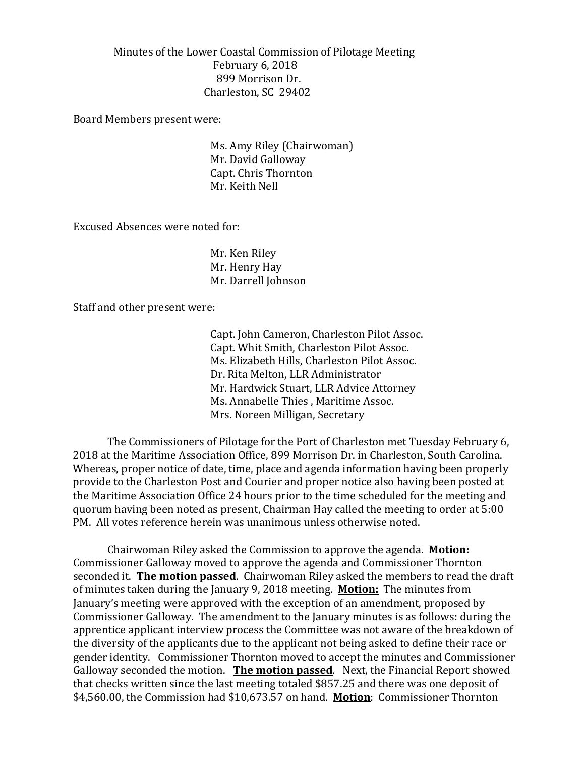Minutes of the Lower Coastal Commission of Pilotage Meeting February 6, 2018 899 Morrison Dr. Charleston, SC 29402

Board Members present were:

Ms. Amy Riley (Chairwoman) Mr. David Galloway Capt. Chris Thornton Mr. Keith Nell

Excused Absences were noted for:

Mr. Ken Riley Mr. Henry Hay Mr. Darrell Johnson

Staff and other present were:

Capt. John Cameron, Charleston Pilot Assoc. Capt. Whit Smith, Charleston Pilot Assoc. Ms. Elizabeth Hills, Charleston Pilot Assoc. Dr. Rita Melton, LLR Administrator Mr. Hardwick Stuart, LLR Advice Attorney Ms. Annabelle Thies , Maritime Assoc. Mrs. Noreen Milligan, Secretary

The Commissioners of Pilotage for the Port of Charleston met Tuesday February 6, 2018 at the Maritime Association Office, 899 Morrison Dr. in Charleston, South Carolina. Whereas, proper notice of date, time, place and agenda information having been properly provide to the Charleston Post and Courier and proper notice also having been posted at the Maritime Association Office 24 hours prior to the time scheduled for the meeting and quorum having been noted as present, Chairman Hay called the meeting to order at 5:00 PM. All votes reference herein was unanimous unless otherwise noted.

Chairwoman Riley asked the Commission to approve the agenda. **Motion:** Commissioner Galloway moved to approve the agenda and Commissioner Thornton seconded it. **The motion passed**. Chairwoman Riley asked the members to read the draft of minutes taken during the January 9, 2018 meeting. **Motion:** The minutes from January's meeting were approved with the exception of an amendment, proposed by Commissioner Galloway. The amendment to the January minutes is as follows: during the apprentice applicant interview process the Committee was not aware of the breakdown of the diversity of the applicants due to the applicant not being asked to define their race or gender identity. Commissioner Thornton moved to accept the minutes and Commissioner Galloway seconded the motion. **The motion passed**. Next, the Financial Report showed that checks written since the last meeting totaled \$857.25 and there was one deposit of \$4,560.00, the Commission had \$10,673.57 on hand. **Motion**: Commissioner Thornton